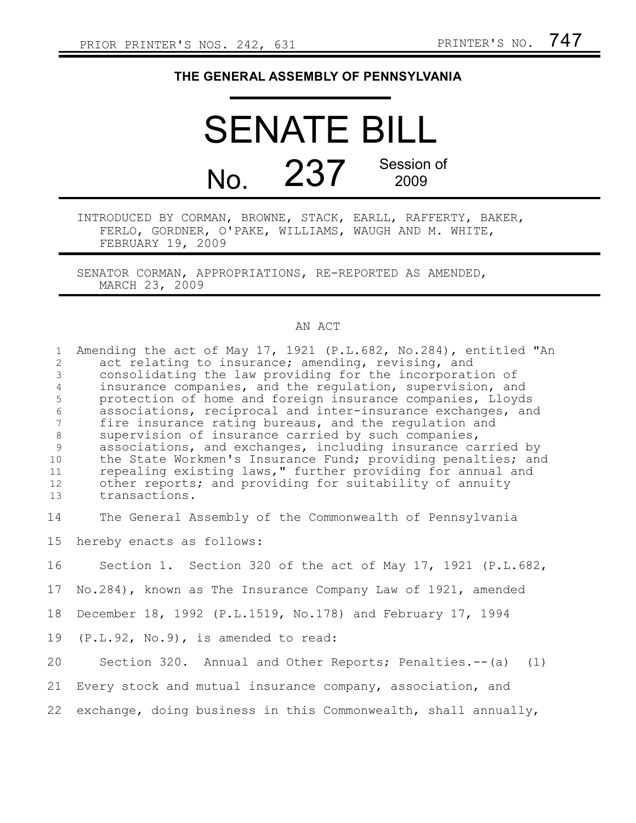## **THE GENERAL ASSEMBLY OF PENNSYLVANIA**

SENATE BILL No. 237 Session of 2009

INTRODUCED BY CORMAN, BROWNE, STACK, EARLL, RAFFERTY, BAKER, FERLO, GORDNER, O'PAKE, WILLIAMS, WAUGH AND M. WHITE, FEBRUARY 19, 2009

SENATOR CORMAN, APPROPRIATIONS, RE-REPORTED AS AMENDED, MARCH 23, 2009

## AN ACT

| $\mathbf{1}$<br>2<br>$\mathfrak{Z}$<br>$\overline{4}$<br>5<br>$\sqrt{6}$<br>$7\phantom{.0}$<br>$\,8\,$<br>9<br>10<br>11<br>12<br>13 | Amending the act of May 17, 1921 (P.L.682, No.284), entitled "An<br>act relating to insurance; amending, revising, and<br>consolidating the law providing for the incorporation of<br>insurance companies, and the regulation, supervision, and<br>protection of home and foreign insurance companies, Lloyds<br>associations, reciprocal and inter-insurance exchanges, and<br>fire insurance rating bureaus, and the regulation and<br>supervision of insurance carried by such companies,<br>associations, and exchanges, including insurance carried by<br>the State Workmen's Insurance Fund; providing penalties; and<br>repealing existing laws," further providing for annual and<br>other reports; and providing for suitability of annuity<br>transactions. |
|-------------------------------------------------------------------------------------------------------------------------------------|-----------------------------------------------------------------------------------------------------------------------------------------------------------------------------------------------------------------------------------------------------------------------------------------------------------------------------------------------------------------------------------------------------------------------------------------------------------------------------------------------------------------------------------------------------------------------------------------------------------------------------------------------------------------------------------------------------------------------------------------------------------------------|
| 14                                                                                                                                  | The General Assembly of the Commonwealth of Pennsylvania                                                                                                                                                                                                                                                                                                                                                                                                                                                                                                                                                                                                                                                                                                              |
| 15                                                                                                                                  | hereby enacts as follows:                                                                                                                                                                                                                                                                                                                                                                                                                                                                                                                                                                                                                                                                                                                                             |
| 16                                                                                                                                  | Section 1. Section 320 of the act of May 17, 1921 (P.L.682,                                                                                                                                                                                                                                                                                                                                                                                                                                                                                                                                                                                                                                                                                                           |
| 17                                                                                                                                  | No.284), known as The Insurance Company Law of 1921, amended                                                                                                                                                                                                                                                                                                                                                                                                                                                                                                                                                                                                                                                                                                          |
| 18                                                                                                                                  | December 18, 1992 (P.L.1519, No.178) and February 17, 1994                                                                                                                                                                                                                                                                                                                                                                                                                                                                                                                                                                                                                                                                                                            |
| 19                                                                                                                                  | $(P.L.92, No.9)$ , is amended to read:                                                                                                                                                                                                                                                                                                                                                                                                                                                                                                                                                                                                                                                                                                                                |
| 20                                                                                                                                  | Section 320. Annual and Other Reports; Penalties.--(a)<br>(1)                                                                                                                                                                                                                                                                                                                                                                                                                                                                                                                                                                                                                                                                                                         |
| 21                                                                                                                                  | Every stock and mutual insurance company, association, and                                                                                                                                                                                                                                                                                                                                                                                                                                                                                                                                                                                                                                                                                                            |
| 22                                                                                                                                  | exchange, doing business in this Commonwealth, shall annually,                                                                                                                                                                                                                                                                                                                                                                                                                                                                                                                                                                                                                                                                                                        |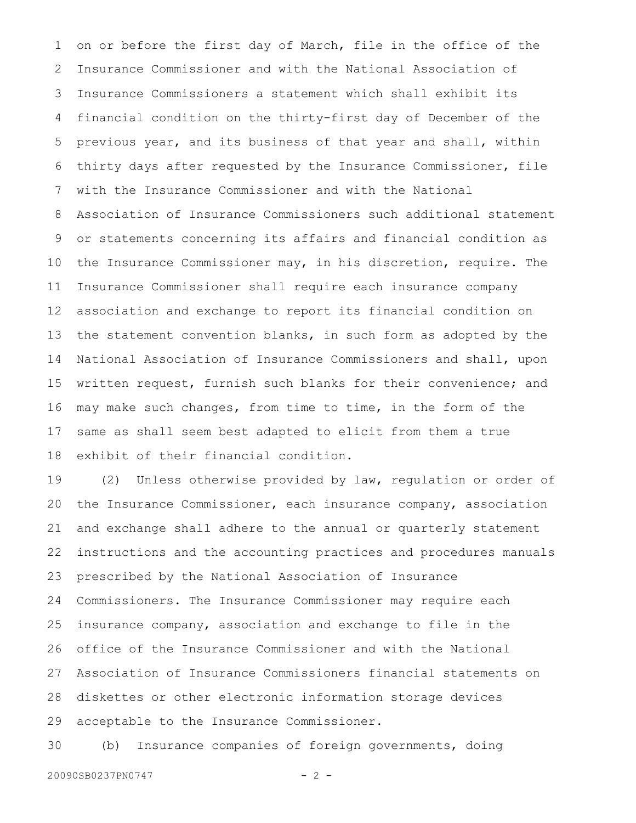on or before the first day of March, file in the office of the Insurance Commissioner and with the National Association of Insurance Commissioners a statement which shall exhibit its financial condition on the thirty-first day of December of the previous year, and its business of that year and shall, within thirty days after requested by the Insurance Commissioner, file with the Insurance Commissioner and with the National Association of Insurance Commissioners such additional statement or statements concerning its affairs and financial condition as the Insurance Commissioner may, in his discretion, require. The Insurance Commissioner shall require each insurance company association and exchange to report its financial condition on the statement convention blanks, in such form as adopted by the National Association of Insurance Commissioners and shall, upon written request, furnish such blanks for their convenience; and may make such changes, from time to time, in the form of the same as shall seem best adapted to elicit from them a true exhibit of their financial condition. 1 2 3 4 5 6 7 8 9 10 11 12 13 14 15 16 17 18

(2) Unless otherwise provided by law, regulation or order of the Insurance Commissioner, each insurance company, association and exchange shall adhere to the annual or quarterly statement instructions and the accounting practices and procedures manuals prescribed by the National Association of Insurance Commissioners. The Insurance Commissioner may require each insurance company, association and exchange to file in the office of the Insurance Commissioner and with the National Association of Insurance Commissioners financial statements on diskettes or other electronic information storage devices acceptable to the Insurance Commissioner. 19 20 21 22 23 24 25 26 27 28 29

(b) Insurance companies of foreign governments, doing 30

20090SB0237PN0747 - 2 -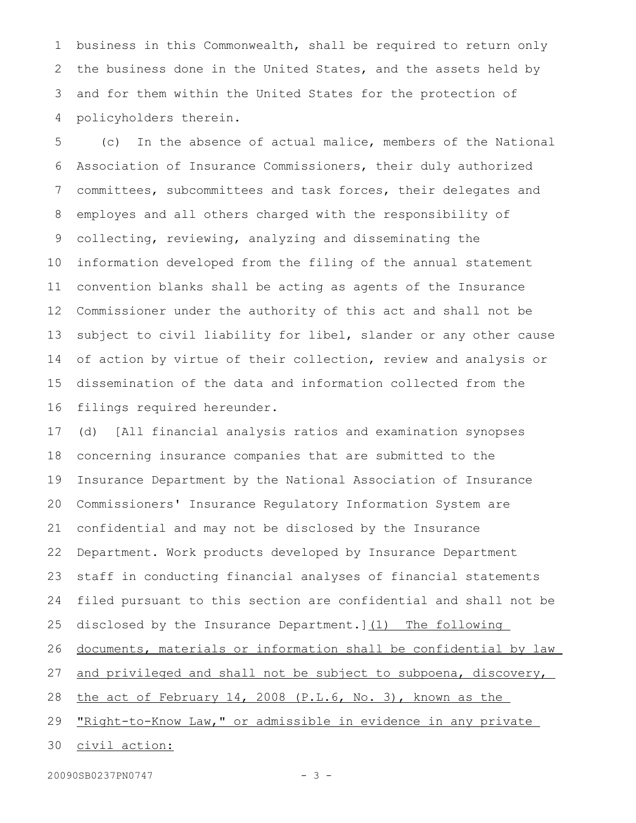business in this Commonwealth, shall be required to return only the business done in the United States, and the assets held by and for them within the United States for the protection of policyholders therein. 1 2 3 4

(c) In the absence of actual malice, members of the National Association of Insurance Commissioners, their duly authorized committees, subcommittees and task forces, their delegates and employes and all others charged with the responsibility of collecting, reviewing, analyzing and disseminating the information developed from the filing of the annual statement convention blanks shall be acting as agents of the Insurance Commissioner under the authority of this act and shall not be subject to civil liability for libel, slander or any other cause of action by virtue of their collection, review and analysis or dissemination of the data and information collected from the filings required hereunder. 5 6 7 8 9 10 11 12 13 14 15 16

(d) [All financial analysis ratios and examination synopses concerning insurance companies that are submitted to the Insurance Department by the National Association of Insurance Commissioners' Insurance Regulatory Information System are confidential and may not be disclosed by the Insurance Department. Work products developed by Insurance Department staff in conducting financial analyses of financial statements filed pursuant to this section are confidential and shall not be disclosed by the Insurance Department. 1(1) The following documents, materials or information shall be confidential by law and privileged and shall not be subject to subpoena, discovery, the act of February 14, 2008 (P.L.6, No. 3), known as the "Right-to-Know Law," or admissible in evidence in any private civil action: 17 18 19 20 21 22 23 24 25 26 27 28 29 30

20090SB0237PN0747 - 3 -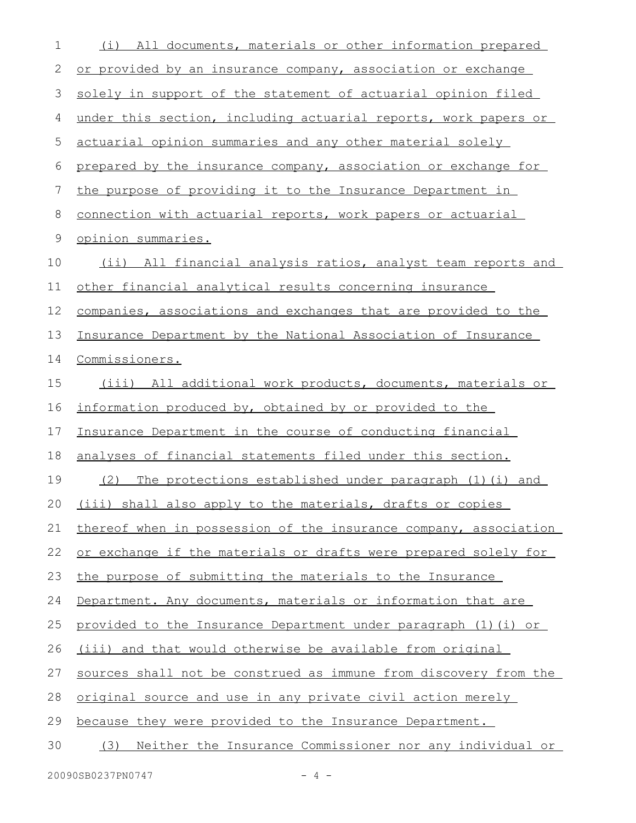| 1  | All documents, materials or other information prepared<br>(i)    |
|----|------------------------------------------------------------------|
| 2  | or provided by an insurance company, association or exchange     |
| 3  | solely in support of the statement of actuarial opinion filed    |
| 4  | under this section, including actuarial reports, work papers or  |
| 5  | actuarial opinion summaries and any other material solely        |
| 6  | prepared by the insurance company, association or exchange for   |
| 7  | the purpose of providing it to the Insurance Department in       |
| 8  | connection with actuarial reports, work papers or actuarial      |
| 9  | opinion summaries.                                               |
| 10 | (ii) All financial analysis ratios, analyst team reports and     |
| 11 | other financial analytical results concerning insurance          |
| 12 | companies, associations and exchanges that are provided to the   |
| 13 | Insurance Department by the National Association of Insurance    |
| 14 | Commissioners.                                                   |
| 15 | (iii) All additional work products, documents, materials or      |
| 16 | information produced by, obtained by or provided to the          |
| 17 | Insurance Department in the course of conducting financial       |
| 18 | analyses of financial statements filed under this section.       |
| 19 | The protections established under paragraph (1)(i) and<br>(2)    |
| 20 | (iii) shall also apply to the materials, drafts or copies        |
| 21 | thereof when in possession of the insurance company, association |
| 22 | or exchange if the materials or drafts were prepared solely for  |
| 23 | the purpose of submitting the materials to the Insurance         |
| 24 | Department. Any documents, materials or information that are     |
| 25 | provided to the Insurance Department under paragraph (1)(i) or   |
| 26 | (iii) and that would otherwise be available from original        |
| 27 | sources shall not be construed as immune from discovery from the |
| 28 | original source and use in any private civil action merely       |
| 29 | because they were provided to the Insurance Department.          |
| 30 | Neither the Insurance Commissioner nor any individual or<br>(3)  |
|    |                                                                  |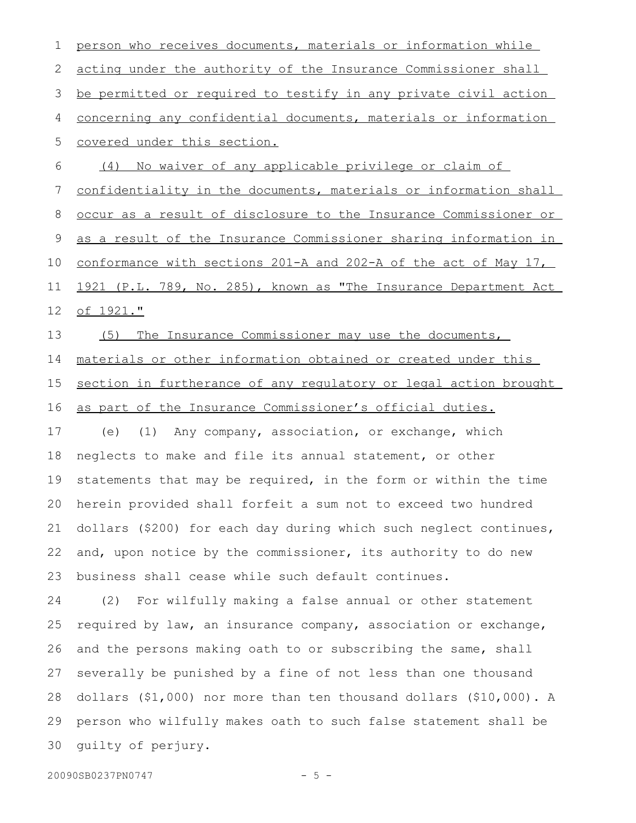person who receives documents, materials or information while acting under the authority of the Insurance Commissioner shall be permitted or required to testify in any private civil action concerning any confidential documents, materials or information covered under this section. (4) No waiver of any applicable privilege or claim of confidentiality in the documents, materials or information shall occur as a result of disclosure to the Insurance Commissioner or as a result of the Insurance Commissioner sharing information in conformance with sections 201-A and 202-A of the act of May 17, 1921 (P.L. 789, No. 285), known as "The Insurance Department Act of 1921." (5) The Insurance Commissioner may use the documents, materials or other information obtained or created under this section in furtherance of any requlatory or legal action brought as part of the Insurance Commissioner's official duties. (e) (1) Any company, association, or exchange, which neglects to make and file its annual statement, or other statements that may be required, in the form or within the time herein provided shall forfeit a sum not to exceed two hundred dollars (\$200) for each day during which such neglect continues, and, upon notice by the commissioner, its authority to do new business shall cease while such default continues. (2) For wilfully making a false annual or other statement required by law, an insurance company, association or exchange, and the persons making oath to or subscribing the same, shall severally be punished by a fine of not less than one thousand dollars (\$1,000) nor more than ten thousand dollars (\$10,000). A person who wilfully makes oath to such false statement shall be guilty of perjury. 1 2 3 4 5 6 7 8 9 10 11 12 13 14 15 16 17 18 19 20 21 22 23 24 25 26 27 28 29 30

20090SB0237PN0747 - 5 -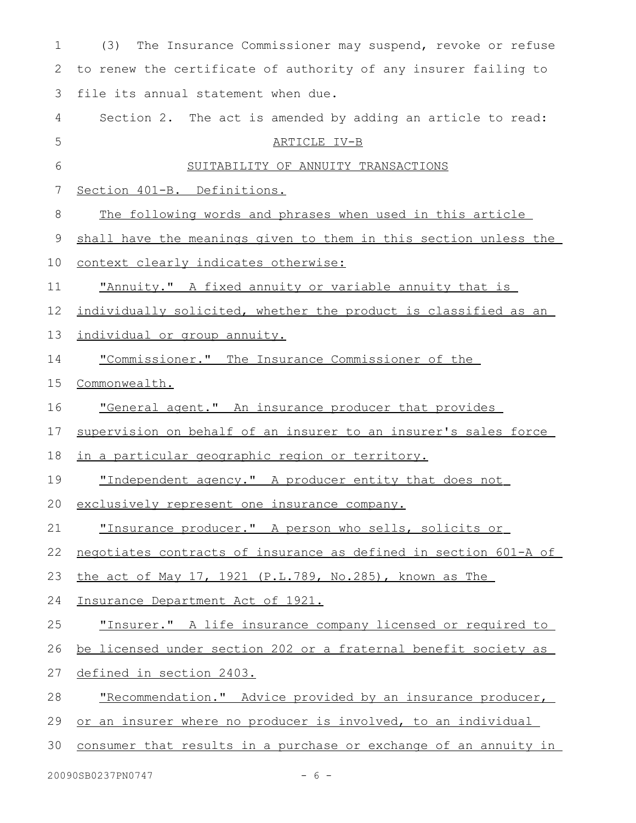| 1  | The Insurance Commissioner may suspend, revoke or refuse<br>(3)  |
|----|------------------------------------------------------------------|
| 2  | to renew the certificate of authority of any insurer failing to  |
| 3  | file its annual statement when due.                              |
| 4  | Section 2. The act is amended by adding an article to read:      |
| 5  | ARTICLE IV-B                                                     |
| 6  | SUITABILITY OF ANNUITY TRANSACTIONS                              |
| 7  | Section 401-B. Definitions.                                      |
| 8  | The following words and phrases when used in this article        |
| 9  | shall have the meanings given to them in this section unless the |
| 10 | context clearly indicates otherwise:                             |
| 11 | "Annuity." A fixed annuity or variable annuity that is           |
| 12 | individually solicited, whether the product is classified as an  |
| 13 | individual or group annuity.                                     |
| 14 | "Commissioner." The Insurance Commissioner of the                |
| 15 | Commonwealth.                                                    |
| 16 | "General agent." An insurance producer that provides             |
| 17 | supervision on behalf of an insurer to an insurer's sales force  |
| 18 | <u>in a particular geographic region or territory.</u>           |
| 19 | "Independent agency." A producer entity that does not            |
|    | 20 exclusively represent one insurance company.                  |
| 21 | "Insurance producer." A person who sells, solicits or            |
| 22 | negotiates contracts of insurance as defined in section 601-A of |
| 23 | the act of May 17, 1921 (P.L.789, No.285), known as The          |
| 24 | Insurance Department Act of 1921.                                |
| 25 | "Insurer." A life insurance company licensed or required to      |
| 26 | be licensed under section 202 or a fraternal benefit society as  |
| 27 | defined in section 2403.                                         |
| 28 | "Recommendation." Advice provided by an insurance producer,      |
| 29 | or an insurer where no producer is involved, to an individual    |
| 30 | consumer that results in a purchase or exchange of an annuity in |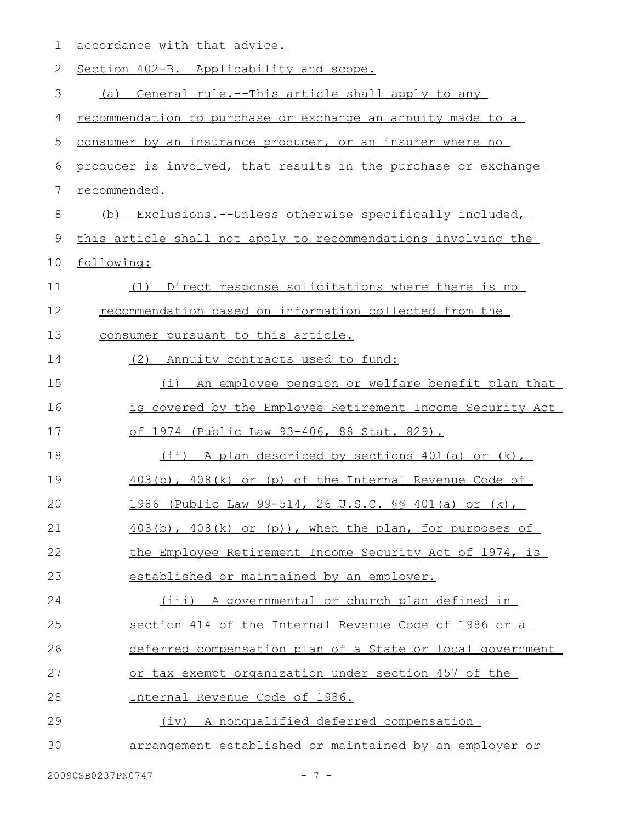| 1  | accordance with that advice.                                   |
|----|----------------------------------------------------------------|
| 2  | Section 402-B. Applicability and scope.                        |
| 3  | General rule.--This article shall apply to any<br>(a)          |
| 4  | recommendation to purchase or exchange an annuity made to a    |
| 5  | consumer by an insurance producer, or an insurer where no      |
| 6  | producer is involved, that results in the purchase or exchange |
| 7  | recommended.                                                   |
| 8  | Exclusions.--Unless otherwise specifically included,<br>(b)    |
| 9  | this article shall not apply to recommendations involving the  |
| 10 | following:                                                     |
| 11 | Direct response solicitations where there is no<br>(1)         |
| 12 | recommendation based on information collected from the         |
| 13 | consumer pursuant to this article.                             |
| 14 | (2) Annuity contracts used to fund:                            |
| 15 | An employee pension or welfare benefit plan that<br>(i)        |
| 16 | is covered by the Employee Retirement Income Security Act      |
| 17 | of 1974 (Public Law 93-406, 88 Stat. 829).                     |
| 18 | (ii) A plan described by sections 401(a) or (k),               |
| 19 | $403(b)$ , $408(k)$ or (p) of the Internal Revenue Code of     |
| 20 | 1986 (Public Law 99-514, 26 U.S.C. \$\$ 401(a) or (k),         |
| 21 | $403(b)$ , $408(k)$ or $(p)$ ), when the plan, for purposes of |
| 22 | the Employee Retirement Income Security Act of 1974, is        |
| 23 | established or maintained by an employer.                      |
| 24 | (iii) A governmental or church plan defined in                 |
| 25 | section 414 of the Internal Revenue Code of 1986 or a          |
| 26 | deferred compensation plan of a State or local government      |
| 27 | or tax exempt organization under section 457 of the            |
| 28 | Internal Revenue Code of 1986.                                 |
| 29 | A nonqualified deferred compensation<br>(iv)                   |
| 30 | arrangement established or maintained by an employer or        |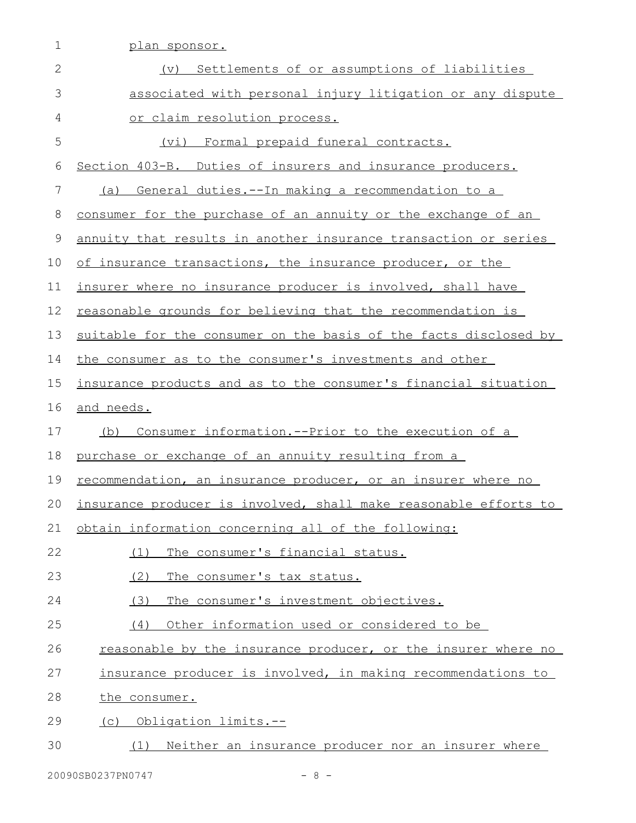| 1           | <u>plan sponsor.</u>                                                 |
|-------------|----------------------------------------------------------------------|
| 2           | (v) Settlements of or assumptions of liabilities                     |
| 3           | associated with personal injury litigation or any dispute            |
| 4           | or claim resolution process.                                         |
| 5           | Formal prepaid funeral contracts.<br>(vi)                            |
| 6           | Section 403-B. Duties of insurers and insurance producers.           |
| 7           | General duties. -- In making a recommendation to a<br>(a)            |
| 8           | consumer for the purchase of an annuity or the exchange of an        |
| $\mathsf 9$ | annuity that results in another insurance transaction or series      |
| 10          | of insurance transactions, the insurance producer, or the            |
| 11          | insurer where no insurance producer is involved, shall have          |
| 12          | reasonable grounds for believing that the recommendation is          |
| 13          | suitable for the consumer on the basis of the facts disclosed by     |
| 14          | the consumer as to the consumer's investments and other              |
| 15          | insurance products and as to the consumer's financial situation      |
| 16          | and needs.                                                           |
| 17          | Consumer information.--Prior to the execution of a<br>(b)            |
| 18          | purchase or exchange of an annuity resulting from a                  |
| 19          | <u>recommendation, an insurance producer, or an insurer where no</u> |
| 20          | insurance producer is involved, shall make reasonable efforts to     |
| 21          | obtain information concerning all of the following:                  |
| 22          | The consumer's financial status.<br>(1)                              |
| 23          | (2)<br>The consumer's tax status.                                    |
| 24          | (3)<br>The consumer's investment objectives.                         |
| 25          | Other information used or considered to be<br>(4)                    |
| 26          | reasonable by the insurance producer, or the insurer where no        |
| 27          | insurance producer is involved, in making recommendations to         |
| 28          | the consumer.                                                        |
| 29          | Obligation limits.--<br>(C)                                          |
| 30          | (1) Neither an insurance producer nor an insurer where               |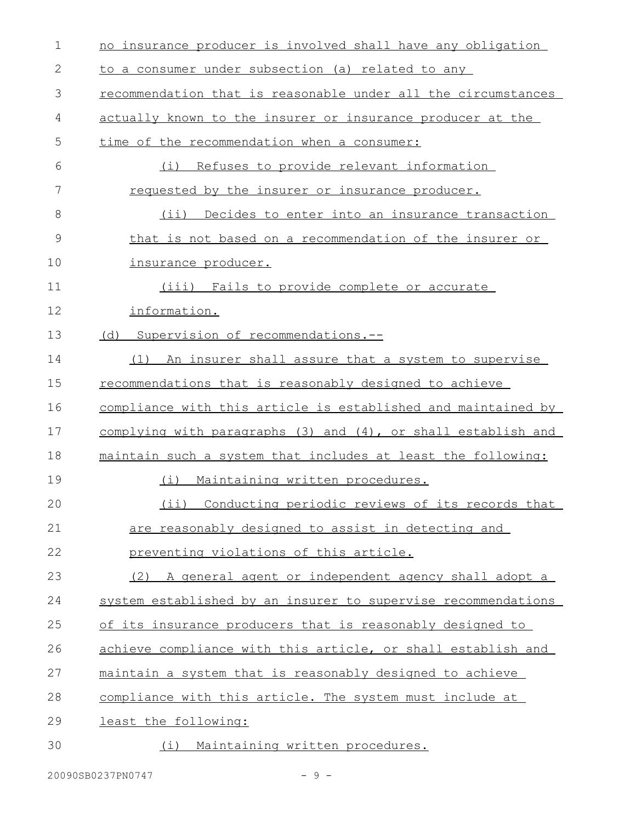| $\mathbf 1$  | no insurance producer is involved shall have any obligation   |
|--------------|---------------------------------------------------------------|
| $\mathbf{2}$ | to a consumer under subsection (a) related to any             |
| 3            | recommendation that is reasonable under all the circumstances |
| 4            | actually known to the insurer or insurance producer at the    |
| 5            | time of the recommendation when a consumer:                   |
| 6            | Refuses to provide relevant information<br>(i)                |
| 7            | requested by the insurer or insurance producer.               |
| 8            | (i)<br>Decides to enter into an insurance transaction         |
| 9            | that is not based on a recommendation of the insurer or       |
| 10           | insurance producer.                                           |
| 11           | (iii) Fails to provide complete or accurate                   |
| 12           | information.                                                  |
| 13           | (d) Supervision of recommendations.--                         |
| 14           | An insurer shall assure that a system to supervise<br>(1)     |
| 15           | recommendations that is reasonably designed to achieve        |
| 16           | compliance with this article is established and maintained by |
| 17           | complying with paragraphs (3) and (4), or shall establish and |
| 18           | maintain such a system that includes at least the following:  |
| 19           | Maintaining written procedures.<br>(i)                        |
| 20           | (ii) Conducting periodic reviews of its records that          |
| 21           | are reasonably designed to assist in detecting and            |
| 22           | preventing violations of this article.                        |
| 23           | A general agent or independent agency shall adopt a<br>(2)    |
| 24           | system established by an insurer to supervise recommendations |
| 25           | of its insurance producers that is reasonably designed to     |
| 26           | achieve compliance with this article, or shall establish and  |
| 27           | maintain a system that is reasonably designed to achieve      |
| 28           | compliance with this article. The system must include at      |
| 29           | least the following:                                          |
| 30           | Maintaining written procedures.<br>(i)                        |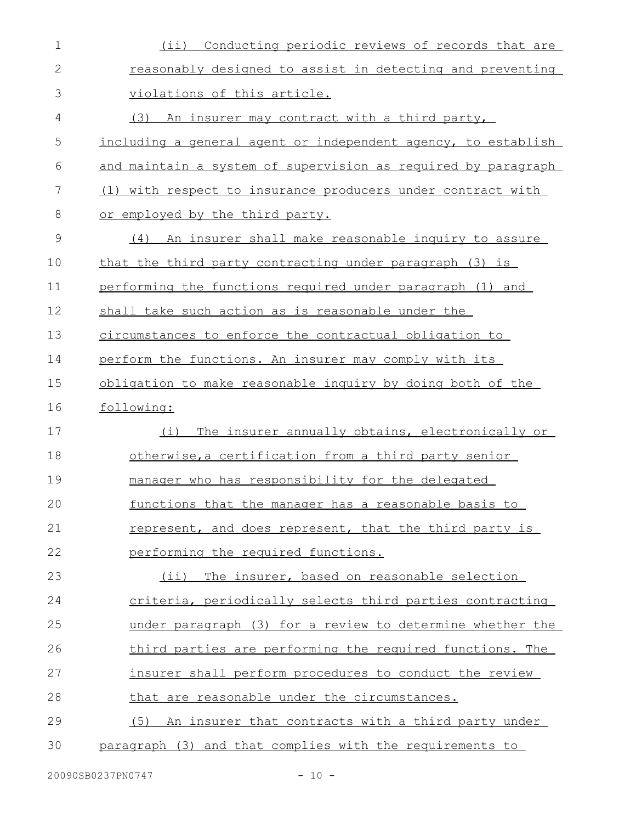| $\mathbf 1$   | Conducting periodic reviews of records that are<br>$(i$ ii)   |
|---------------|---------------------------------------------------------------|
| $\mathbf{2}$  | reasonably designed to assist in detecting and preventing     |
| 3             | violations of this article.                                   |
| 4             | (3) An insurer may contract with a third party,               |
| 5             | including a general agent or independent agency, to establish |
| 6             | and maintain a system of supervision as required by paragraph |
| 7             | (1) with respect to insurance producers under contract with   |
| 8             | or employed by the third party.                               |
| $\mathcal{G}$ | (4) An insurer shall make reasonable inquiry to assure        |
| 10            | that the third party contracting under paragraph (3) is       |
| 11            | performing the functions required under paragraph (1) and     |
| 12            | shall take such action as is reasonable under the             |
| 13            | circumstances to enforce the contractual obligation to        |
| 14            | perform the functions. An insurer may comply with its         |
| 15            | obligation to make reasonable inquiry by doing both of the    |
| 16            | following:                                                    |
| 17            | The insurer annually obtains, electronically or<br>(i)        |
| 18            | otherwise, a certification from a third party senior          |
| 19            | manager who has responsibility for the delegated              |
| 20            | functions that the manager has a reasonable basis to          |
| 21            | represent, and does represent, that the third party is        |
| 22            | performing the required functions.                            |
| 23            | The insurer, based on reasonable selection<br>(i)             |
| 24            | criteria, periodically selects third parties contracting      |
| 25            | under paragraph (3) for a review to determine whether the     |
| 26            | third parties are performing the required functions. The      |
| 27            | insurer shall perform procedures to conduct the review        |
| 28            | that are reasonable under the circumstances.                  |
| 29            | (5) An insurer that contracts with a third party under        |
| 30            | paragraph (3) and that complies with the requirements to      |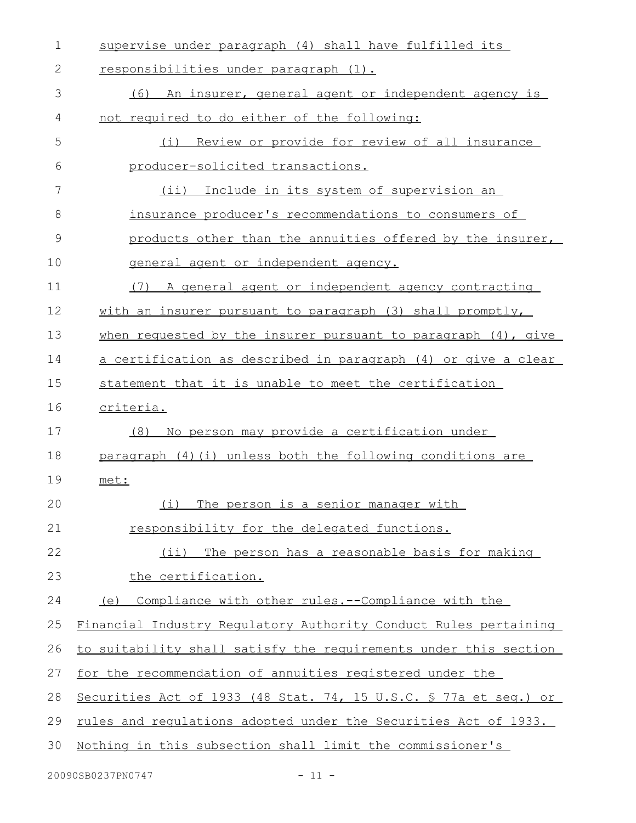| $\mathbf 1$  | supervise under paragraph (4) shall have fulfilled its           |
|--------------|------------------------------------------------------------------|
| $\mathbf{2}$ | responsibilities under paragraph (1).                            |
| 3            | (6)<br>An insurer, general agent or independent agency is        |
| 4            | not required to do either of the following:                      |
| 5            | Review or provide for review of all insurance<br>(i)             |
| 6            | producer-solicited transactions.                                 |
| 7            | Include in its system of supervision an<br>$(i$ ii)              |
| 8            | insurance producer's recommendations to consumers of             |
| 9            | products other than the annuities offered by the insurer,        |
| 10           | general agent or independent agency.                             |
| 11           | A general agent or independent agency contracting<br>(7)         |
| 12           | with an insurer pursuant to paragraph (3) shall promptly,        |
| 13           | when requested by the insurer pursuant to paragraph $(4)$ , give |
| 14           | a certification as described in paragraph (4) or give a clear    |
| 15           | statement that it is unable to meet the certification            |
| 16           | criteria.                                                        |
| 17           | No person may provide a certification under<br>(8)               |
| 18           | paragraph (4) (i) unless both the following conditions are       |
| 19           | met:                                                             |
| 20           | (i) The person is a senior manager with                          |
| 21           | responsibility for the delegated functions.                      |
| 22           | (ii) The person has a reasonable basis for making                |
| 23           | the certification.                                               |
| 24           | Compliance with other rules.--Compliance with the<br>(e)         |
| 25           | Financial Industry Regulatory Authority Conduct Rules pertaining |
| 26           | to suitability shall satisfy the requirements under this section |
| 27           | for the recommendation of annuities registered under the         |
| 28           | Securities Act of 1933 (48 Stat. 74, 15 U.S.C. § 77a et seq.) or |
| 29           | rules and requlations adopted under the Securities Act of 1933.  |
| 30           | Nothing in this subsection shall limit the commissioner's        |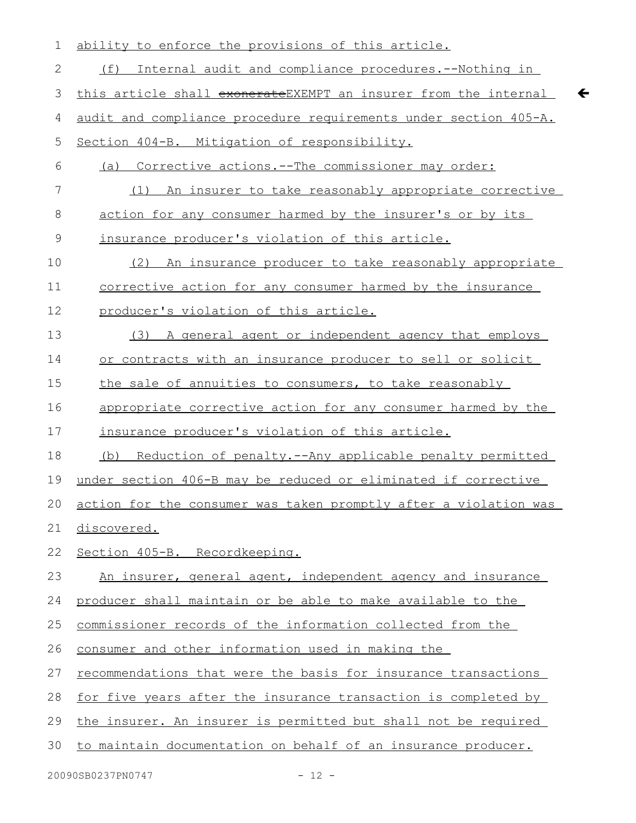| 1            | ability to enforce the provisions of this article.                    |
|--------------|-----------------------------------------------------------------------|
| $\mathbf{2}$ | (f)<br>Internal audit and compliance procedures. -- Nothing in        |
| 3            | this article shall exonerateEXEMPT an insurer from the internal       |
| 4            | audit and compliance procedure requirements under section 405-A.      |
| 5            | Section 404-B. Mitigation of responsibility.                          |
| 6            | Corrective actions.--The commissioner may order:<br>(a)               |
| 7            | An insurer to take reasonably appropriate corrective<br>(1)           |
| 8            | action for any consumer harmed by the insurer's or by its             |
| 9            | insurance producer's violation of this article.                       |
| 10           | (2) An insurance producer to take reasonably appropriate              |
| 11           | corrective action for any consumer harmed by the insurance            |
| 12           | producer's violation of this article.                                 |
| 13           | (3) A general agent or independent agency that employs                |
| 14           | or contracts with an insurance producer to sell or solicit            |
| 15           | the sale of annuities to consumers, to take reasonably                |
| 16           | appropriate corrective action for any consumer harmed by the          |
| 17           | insurance producer's violation of this article.                       |
| 18           | Reduction of penalty.--Any applicable penalty permitted<br>(b)        |
| 19           | under section 406-B may be reduced or eliminated if corrective        |
|              | 20 action for the consumer was taken promptly after a violation was   |
| 21           | discovered.                                                           |
| 22           | Section 405-B. Recordkeeping.                                         |
| 23           | An insurer, general agent, independent agency and insurance           |
| 24           | producer shall maintain or be able to make available to the           |
| 25           | commissioner records of the information collected from the            |
| 26           | consumer and other information used in making the                     |
| 27           | recommendations that were the basis for insurance transactions        |
| 28           | <u>for five years after the insurance transaction is completed by</u> |
| 29           | the insurer. An insurer is permitted but shall not be required        |
| 30           | to maintain documentation on behalf of an insurance producer.         |
|              |                                                                       |

 $\leftarrow$